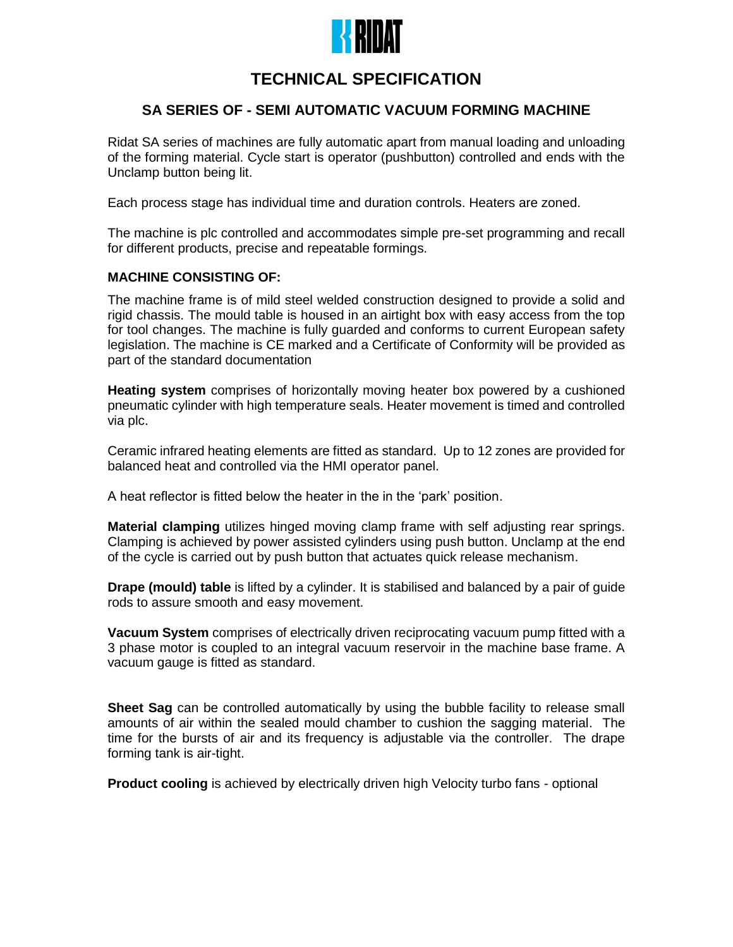

# **TECHNICAL SPECIFICATION**

# **SA SERIES OF - SEMI AUTOMATIC VACUUM FORMING MACHINE**

Ridat SA series of machines are fully automatic apart from manual loading and unloading of the forming material. Cycle start is operator (pushbutton) controlled and ends with the Unclamp button being lit.

Each process stage has individual time and duration controls. Heaters are zoned.

The machine is plc controlled and accommodates simple pre-set programming and recall for different products, precise and repeatable formings.

## **MACHINE CONSISTING OF:**

The machine frame is of mild steel welded construction designed to provide a solid and rigid chassis. The mould table is housed in an airtight box with easy access from the top for tool changes. The machine is fully guarded and conforms to current European safety legislation. The machine is CE marked and a Certificate of Conformity will be provided as part of the standard documentation

**Heating system** comprises of horizontally moving heater box powered by a cushioned pneumatic cylinder with high temperature seals. Heater movement is timed and controlled via plc.

Ceramic infrared heating elements are fitted as standard. Up to 12 zones are provided for balanced heat and controlled via the HMI operator panel.

A heat reflector is fitted below the heater in the in the 'park' position.

**Material clamping** utilizes hinged moving clamp frame with self adjusting rear springs. Clamping is achieved by power assisted cylinders using push button. Unclamp at the end of the cycle is carried out by push button that actuates quick release mechanism.

**Drape (mould) table** is lifted by a cylinder. It is stabilised and balanced by a pair of guide rods to assure smooth and easy movement.

**Vacuum System** comprises of electrically driven reciprocating vacuum pump fitted with a 3 phase motor is coupled to an integral vacuum reservoir in the machine base frame. A vacuum gauge is fitted as standard.

**Sheet Sag** can be controlled automatically by using the bubble facility to release small amounts of air within the sealed mould chamber to cushion the sagging material. The time for the bursts of air and its frequency is adjustable via the controller. The drape forming tank is air-tight.

**Product cooling** is achieved by electrically driven high Velocity turbo fans - optional